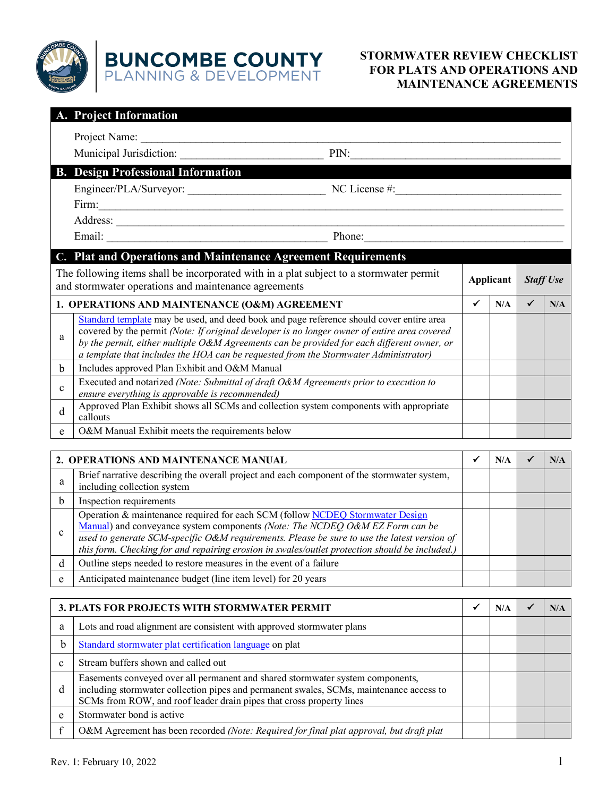

## **STORMWATER REVIEW CHECKLIST FOR PLATS AND OPERATIONS AND MAINTENANCE AGREEMENTS**

|                                                                                                                                                 | A. Project Information                                                                                                                                                                                                                                                                                                                                                         |                  |     |                  |     |
|-------------------------------------------------------------------------------------------------------------------------------------------------|--------------------------------------------------------------------------------------------------------------------------------------------------------------------------------------------------------------------------------------------------------------------------------------------------------------------------------------------------------------------------------|------------------|-----|------------------|-----|
|                                                                                                                                                 | Project Name:                                                                                                                                                                                                                                                                                                                                                                  |                  |     |                  |     |
|                                                                                                                                                 | Municipal Jurisdiction:<br>PIN:                                                                                                                                                                                                                                                                                                                                                |                  |     |                  |     |
|                                                                                                                                                 | <b>B.</b> Design Professional Information                                                                                                                                                                                                                                                                                                                                      |                  |     |                  |     |
|                                                                                                                                                 |                                                                                                                                                                                                                                                                                                                                                                                |                  |     |                  |     |
|                                                                                                                                                 | Firm:<br><u> 1980 - Johann Stoff, deutscher Stoffen und der Stoffen und der Stoffen und der Stoffen und der Stoffen und der</u>                                                                                                                                                                                                                                                |                  |     |                  |     |
|                                                                                                                                                 |                                                                                                                                                                                                                                                                                                                                                                                |                  |     |                  |     |
|                                                                                                                                                 |                                                                                                                                                                                                                                                                                                                                                                                |                  |     |                  |     |
|                                                                                                                                                 | C. Plat and Operations and Maintenance Agreement Requirements                                                                                                                                                                                                                                                                                                                  |                  |     |                  |     |
| The following items shall be incorporated with in a plat subject to a stormwater permit<br>and stormwater operations and maintenance agreements |                                                                                                                                                                                                                                                                                                                                                                                | <b>Applicant</b> |     | <b>Staff Use</b> |     |
|                                                                                                                                                 | 1. OPERATIONS AND MAINTENANCE (O&M) AGREEMENT                                                                                                                                                                                                                                                                                                                                  | ✓                | N/A | ✓                | N/A |
| a                                                                                                                                               | Standard template may be used, and deed book and page reference should cover entire area<br>covered by the permit (Note: If original developer is no longer owner of entire area covered<br>by the permit, either multiple O&M Agreements can be provided for each different owner, or<br>a template that includes the HOA can be requested from the Stormwater Administrator) |                  |     |                  |     |
| <sub>b</sub>                                                                                                                                    | Includes approved Plan Exhibit and O&M Manual                                                                                                                                                                                                                                                                                                                                  |                  |     |                  |     |
| $\mathbf{c}$                                                                                                                                    | Executed and notarized (Note: Submittal of draft O&M Agreements prior to execution to<br>ensure everything is approvable is recommended)                                                                                                                                                                                                                                       |                  |     |                  |     |
| d                                                                                                                                               | Approved Plan Exhibit shows all SCMs and collection system components with appropriate<br>callouts                                                                                                                                                                                                                                                                             |                  |     |                  |     |
| e                                                                                                                                               | O&M Manual Exhibit meets the requirements below                                                                                                                                                                                                                                                                                                                                |                  |     |                  |     |
|                                                                                                                                                 |                                                                                                                                                                                                                                                                                                                                                                                |                  |     |                  |     |
|                                                                                                                                                 | 2. OPERATIONS AND MAINTENANCE MANUAL                                                                                                                                                                                                                                                                                                                                           | ✔                | N/A | ✓                | N/A |
| a                                                                                                                                               | Brief narrative describing the overall project and each component of the stormwater system,<br>including collection system                                                                                                                                                                                                                                                     |                  |     |                  |     |
| h                                                                                                                                               | Inspection requirements                                                                                                                                                                                                                                                                                                                                                        |                  |     |                  |     |
| $\mathbf c$                                                                                                                                     | Operation & maintenance required for each SCM (follow NCDEQ Stormwater Design<br>Manual) and conveyance system components (Note: The NCDEQ O&M EZ Form can be<br>used to generate SCM-specific O&M requirements. Please be sure to use the latest version of<br>this form. Checking for and repairing erosion in swales/outlet protection should be included.)                 |                  |     |                  |     |
| d                                                                                                                                               | Outline steps needed to restore measures in the event of a failure                                                                                                                                                                                                                                                                                                             |                  |     |                  |     |
| e                                                                                                                                               | Anticipated maintenance budget (line item level) for 20 years                                                                                                                                                                                                                                                                                                                  |                  |     |                  |     |
|                                                                                                                                                 |                                                                                                                                                                                                                                                                                                                                                                                |                  |     |                  |     |

| 3. PLATS FOR PROJECTS WITH STORMWATER PERMIT |                                                                                                                                                                                                                                                   |  |  |
|----------------------------------------------|---------------------------------------------------------------------------------------------------------------------------------------------------------------------------------------------------------------------------------------------------|--|--|
| a                                            | Lots and road alignment are consistent with approved stormwater plans                                                                                                                                                                             |  |  |
| b                                            | Standard stormwater plat certification language on plat                                                                                                                                                                                           |  |  |
| $\mathbf{c}$                                 | Stream buffers shown and called out                                                                                                                                                                                                               |  |  |
| <sub>d</sub>                                 | Easements conveyed over all permanent and shared stormwater system components,<br>including stormwater collection pipes and permanent swales, SCMs, maintenance access to<br>SCMs from ROW, and roof leader drain pipes that cross property lines |  |  |
| e                                            | Stormwater bond is active                                                                                                                                                                                                                         |  |  |
|                                              | O&M Agreement has been recorded (Note: Required for final plat approval, but draft plat                                                                                                                                                           |  |  |